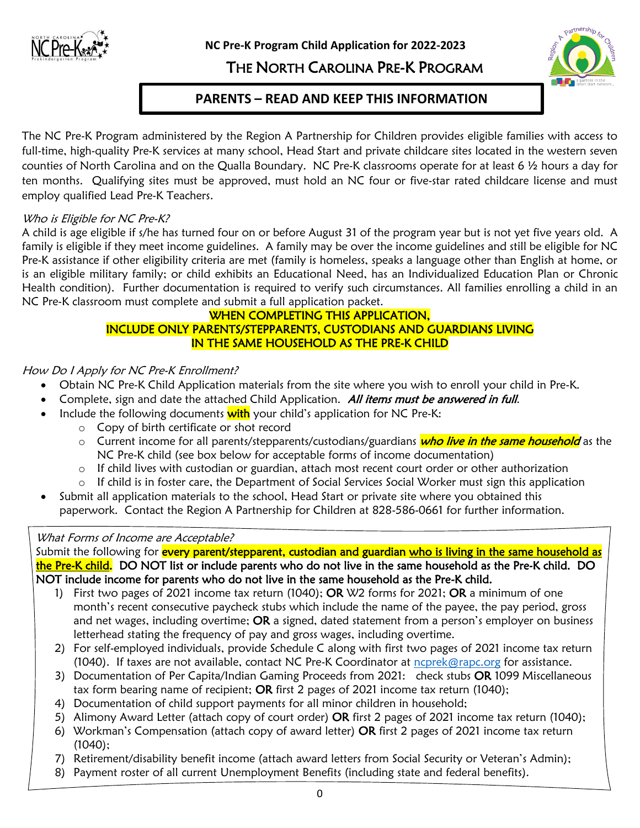

**NC Pre-K Program Child Application for 2022-2023**

# THE NORTH CAROLINA PRE-K PROGRAM



# **PARENTS – READ AND KEEP THIS INFORMATION**

The NC Pre-K Program administered by the Region A Partnership for Children provides eligible families with access to full-time, high-quality Pre-K services at many school, Head Start and private childcare sites located in the western seven counties of North Carolina and on the Qualla Boundary. NC Pre-K classrooms operate for at least 6 ½ hours a day for ten months. Qualifying sites must be approved, must hold an NC four or five-star rated childcare license and must employ qualified Lead Pre-K Teachers.

# Who is Eligible for NC Pre-K?

A child is age eligible if s/he has turned four on or before August 31 of the program year but is not yet five years old. A family is eligible if they meet income guidelines. A family may be over the income guidelines and still be eligible for NC Pre-K assistance if other eligibility criteria are met (family is homeless, speaks a language other than English at home, or is an eligible military family; or child exhibits an Educational Need, has an Individualized Education Plan or Chronic Health condition). Further documentation is required to verify such circumstances. All families enrolling a child in an NC Pre-K classroom must complete and submit a full application packet.

## WHEN COMPLETING THIS APPLICATION, INCLUDE ONLY PARENTS/STEPPARENTS, CUSTODIANS AND GUARDIANS LIVING IN THE SAME HOUSEHOLD AS THE PRE-K CHILD

## How Do I Apply for NC Pre-K Enrollment?

- Obtain NC Pre-K Child Application materials from the site where you wish to enroll your child in Pre-K.
- Complete, sign and date the attached Child Application. All items must be answered in full.
- Include the following documents **with** your child's application for NC Pre-K:
	- o Copy of birth certificate or shot record
	- o Current income for all parents/stepparents/custodians/guardians who live in the same household as the NC Pre-K child (see box below for acceptable forms of income documentation)
	- o If child lives with custodian or guardian, attach most recent court order or other authorization
	- o If child is in foster care, the Department of Social Services Social Worker must sign this application
- Submit all application materials to the school, Head Start or private site where you obtained this paperwork. Contact the Region A Partnership for Children at 828-586-0661 for further information.

# What Forms of Income are Acceptable?

Submit the following for *every parent/stepparent, custodian and guardian who is living in the same household as* the Pre-K child. DO NOT list or include parents who do not live in the same household as the Pre-K child. DO NOT include income for parents who do not live in the same household as the Pre-K child.

- 1) First two pages of 2021 income tax return (1040); OR W2 forms for 2021; OR a minimum of one month's recent consecutive paycheck stubs which include the name of the payee, the pay period, gross and net wages, including overtime; OR a signed, dated statement from a person's employer on business letterhead stating the frequency of pay and gross wages, including overtime.
- 2) For self-employed individuals, provide Schedule C along with first two pages of 2021 income tax return (1040). If taxes are not available, contact NC Pre-K Coordinator at [ncprek@rapc.org](mailto:ncprek@rapc.org) for assistance.
- 3) Documentation of Per Capita/Indian Gaming Proceeds from 2021: check stubs OR 1099 Miscellaneous tax form bearing name of recipient; OR first 2 pages of 2021 income tax return (1040);
- 4) Documentation of child support payments for all minor children in household;
- 5) Alimony Award Letter (attach copy of court order) OR first 2 pages of 2021 income tax return (1040);
- 6) Workman's Compensation (attach copy of award letter) OR first 2 pages of 2021 income tax return (1040);
- 7) Retirement/disability benefit income (attach award letters from Social Security or Veteran's Admin);
- 8) Payment roster of all current Unemployment Benefits (including state and federal benefits).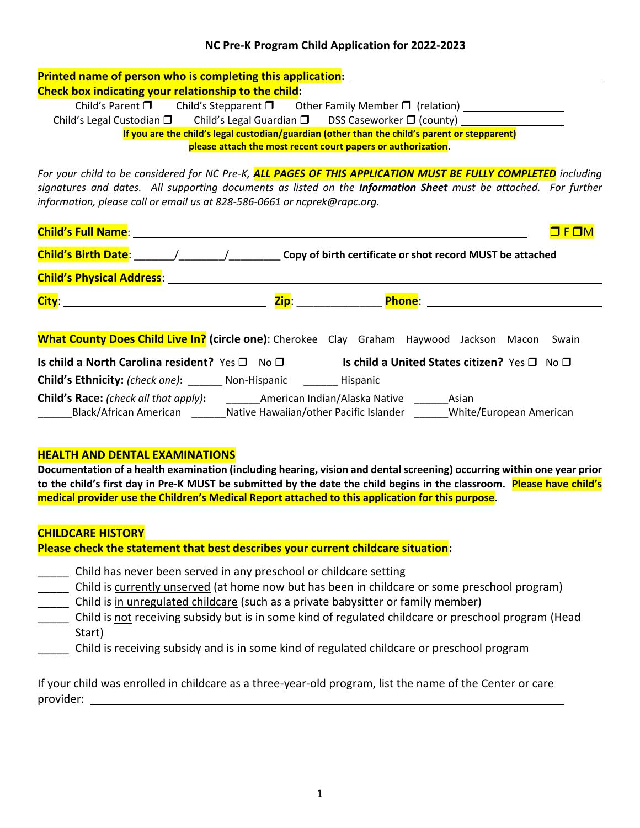## **NC Pre-K Program Child Application for 2022-2023**

| <b>Printed name of person who is completing this application:</b>                                                                                                                                                                |
|----------------------------------------------------------------------------------------------------------------------------------------------------------------------------------------------------------------------------------|
| Check box indicating your relationship to the child:                                                                                                                                                                             |
|                                                                                                                                                                                                                                  |
| Child's Legal Custodian □ Child's Legal Guardian □ DSS Caseworker □ (county) ______________________                                                                                                                              |
| If you are the child's legal custodian/guardian (other than the child's parent or stepparent)                                                                                                                                    |
| please attach the most recent court papers or authorization.                                                                                                                                                                     |
| For your child to be considered for NC Pre-K, ALL PAGES OF THIS APPLICATION MUST BE FULLY COMPLETED including<br>signatures and dates. All supporting documents as listed on the Information Sheet must be attached. For further |
| information, please call or email us at 828-586-0661 or ncprek@rapc.org.                                                                                                                                                         |
| $F \Box M$                                                                                                                                                                                                                       |
|                                                                                                                                                                                                                                  |
|                                                                                                                                                                                                                                  |
|                                                                                                                                                                                                                                  |
| What County Does Child Live In? (circle one): Cherokee Clay Graham Haywood Jackson Macon Swain                                                                                                                                   |
|                                                                                                                                                                                                                                  |
| Is child a North Carolina resident? Yes $\Box$ No $\Box$ Is child a United States citizen? Yes $\Box$ No $\Box$                                                                                                                  |
| <b>Child's Ethnicity:</b> (check one): _______ Non-Hispanic _______ Hispanic                                                                                                                                                     |

#### **HEALTH AND DENTAL EXAMINATIONS**

**Documentation of a health examination (including hearing, vision and dental screening) occurring within one year prior to the child's first day in Pre-K MUST be submitted by the date the child begins in the classroom. Please have child's medical provider use the Children's Medical Report attached to this application for this purpose.**

#### **CHILDCARE HISTORY**

**Please check the statement that best describes your current childcare situation:**

- **\_\_\_\_\_** Child has never been served in any preschool or childcare setting
- \_\_\_\_\_ Child is currently unserved (at home now but has been in childcare or some preschool program)
- \_\_\_\_\_ Child is in unregulated childcare (such as a private babysitter or family member)
- \_\_\_\_\_ Child is not receiving subsidy but is in some kind of regulated childcare or preschool program (Head Start)
- \_\_\_\_\_ Child is receiving subsidy and is in some kind of regulated childcare or preschool program

If your child was enrolled in childcare as a three-year-old program, list the name of the Center or care provider: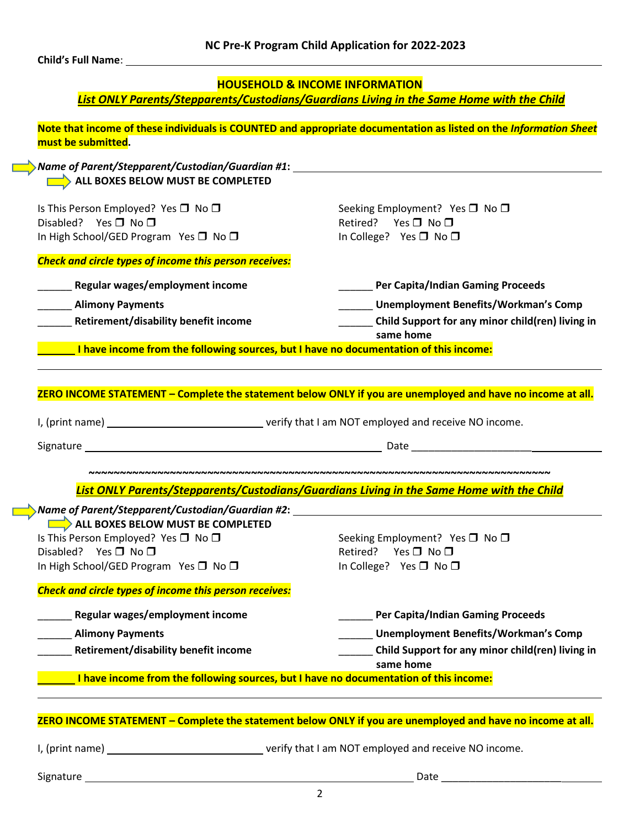**Child's Full Name**:

#### **HOUSEHOLD & INCOME INFORMATION**

*List ONLY Parents/Stepparents/Custodians/Guardians Living in the Same Home with the Child*

**Note that income of these individuals is COUNTED and appropriate documentation as listed on the** *Information Sheet* **must be submitted.**

*Name of Parent/Stepparent/Custodian/Guardian #1***: ALL BOXES BELOW MUST BE COMPLETED** 

Is This Person Employed? Yes  $\Box$  No  $\Box$   $\Box$  No  $\Box$  Seeking Employment? Yes  $\Box$  No  $\Box$ Disabled? Yes No Retired? Yes No In High School/GED Program Yes □ No □ In College? Yes □ No □

*Check and circle types of income this person receives:*

- 
- 
- 
- \_\_\_\_\_\_ **Regular wages/employment income** \_\_\_\_\_\_ **Per Capita/Indian Gaming Proceeds** 
	- \_\_\_\_\_\_ **Alimony Payments** \_\_\_\_\_\_ **Unemployment Benefits/Workman's Comp**
	- \_\_\_\_\_\_ **Retirement/disability benefit income** \_\_\_\_\_\_ **Child Support for any minor child(ren) living in same home**

**I have income from the following sources, but I have no documentation of this income:**

**ZERO INCOME STATEMENT – Complete the statement below ONLY if you are unemployed and have no income at all.** 

I, (print name) verify that I am NOT employed and receive NO income.

Signature Date \_\_\_\_\_\_\_\_\_\_\_\_\_\_\_\_\_\_\_\_\_

**~~~~~~~~~~~~~~~~~~~~~~~~~~~~~~~~~~~~~~~~~~~~~~~~~~~~~~~~~~~~~~~~~~~~~~~~~~** *List ONLY Parents/Stepparents/Custodians/Guardians Living in the Same Home with the Child*

| Name of Parent/Stepparent/Custodian/Guardian #2: ﴿                                    |                                                               |
|---------------------------------------------------------------------------------------|---------------------------------------------------------------|
| ALL BOXES BELOW MUST BE COMPLETED                                                     |                                                               |
| Is This Person Employed? Yes $\square$ No $\square$                                   | Seeking Employment? Yes $\Box$ No $\Box$                      |
| Disabled?<br>Yes □ No □                                                               | $Yes \Box No \Box$<br>Retired?                                |
| In High School/GED Program Yes $\square$ No $\square$                                 | In College? Yes $\Box$ No $\Box$                              |
| <b>Check and circle types of income this person receives:</b>                         |                                                               |
| Regular wages/employment income                                                       | <b>Per Capita/Indian Gaming Proceeds</b>                      |
| <b>Alimony Payments</b>                                                               | Unemployment Benefits/Workman's Comp                          |
| Retirement/disability benefit income                                                  | Child Support for any minor child(ren) living in<br>same home |
| I have income from the following sources, but I have no documentation of this income: |                                                               |
|                                                                                       |                                                               |
|                                                                                       |                                                               |

#### **ZERO INCOME STATEMENT – Complete the statement below ONLY if you are unemployed and have no income at all.**

I, (print name) verify that I am NOT employed and receive NO income.

Signature Date \_\_\_\_\_\_\_\_\_\_\_\_\_\_\_\_\_\_\_\_\_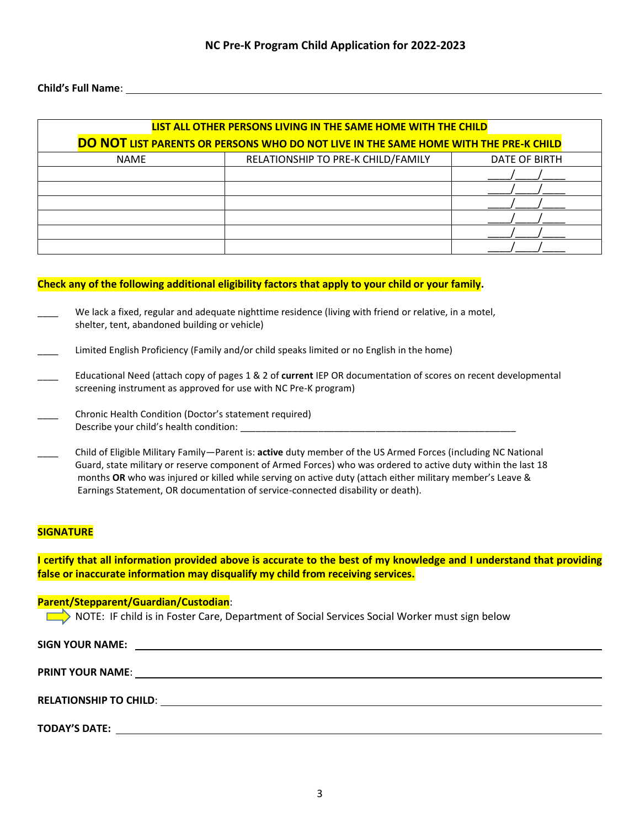#### **Child's Full Name**:

| LIST ALL OTHER PERSONS LIVING IN THE SAME HOME WITH THE CHILD                        |                                    |               |  |  |  |  |  |
|--------------------------------------------------------------------------------------|------------------------------------|---------------|--|--|--|--|--|
| DO NOT LIST PARENTS OR PERSONS WHO DO NOT LIVE IN THE SAME HOME WITH THE PRE-K CHILD |                                    |               |  |  |  |  |  |
| <b>NAME</b>                                                                          | RELATIONSHIP TO PRE-K CHILD/FAMILY | DATE OF BIRTH |  |  |  |  |  |
|                                                                                      |                                    |               |  |  |  |  |  |
|                                                                                      |                                    |               |  |  |  |  |  |
|                                                                                      |                                    |               |  |  |  |  |  |
|                                                                                      |                                    |               |  |  |  |  |  |
|                                                                                      |                                    |               |  |  |  |  |  |
|                                                                                      |                                    |               |  |  |  |  |  |

#### **Check any of the following additional eligibility factors that apply to your child or your family.**

- We lack a fixed, regular and adequate nighttime residence (living with friend or relative, in a motel, shelter, tent, abandoned building or vehicle)
- Limited English Proficiency (Family and/or child speaks limited or no English in the home)
- \_\_\_\_ Educational Need (attach copy of pages 1 & 2 of **current** IEP OR documentation of scores on recent developmental screening instrument as approved for use with NC Pre-K program)
- \_\_\_\_ Chronic Health Condition (Doctor's statement required) Describe your child's health condition:
- \_\_\_\_ Child of Eligible Military Family—Parent is: **active** duty member of the US Armed Forces (including NC National Guard, state military or reserve component of Armed Forces) who was ordered to active duty within the last 18 months **OR** who was injured or killed while serving on active duty (attach either military member's Leave & Earnings Statement, OR documentation of service-connected disability or death).

#### **SIGNATURE**

**I certify that all information provided above is accurate to the best of my knowledge and I understand that providing false or inaccurate information may disqualify my child from receiving services.**

#### **Parent/Stepparent/Guardian/Custodian**:

NOTE: IF child is in Foster Care, Department of Social Services Social Worker must sign below

| <b>SIGN YOUR NAME:</b> | <u> 1989 - John Stone, amerikansk politiker († 1989)</u> |  |
|------------------------|----------------------------------------------------------|--|
|                        |                                                          |  |
|                        |                                                          |  |
| <b>TODAY'S DATE:</b>   |                                                          |  |